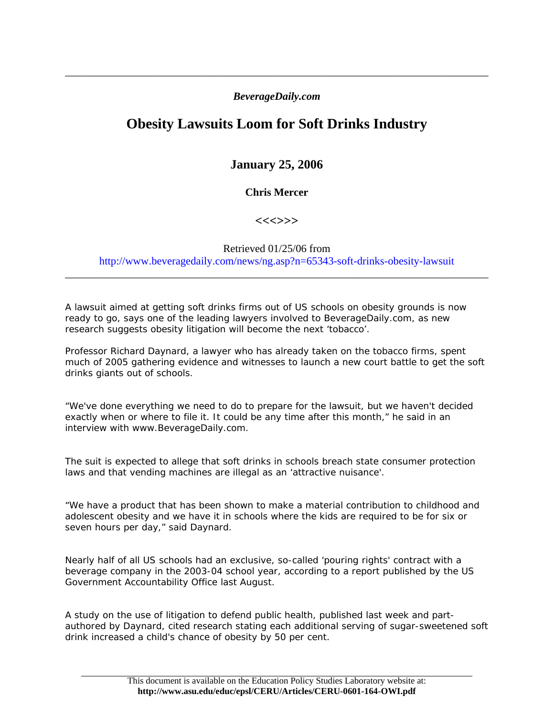## *BeverageDaily.com*

\_\_\_\_\_\_\_\_\_\_\_\_\_\_\_\_\_\_\_\_\_\_\_\_\_\_\_\_\_\_\_\_\_\_\_\_\_\_\_\_\_\_\_\_\_\_\_\_\_\_\_\_\_\_\_\_\_\_\_\_\_\_\_\_\_\_\_\_\_\_\_\_\_\_\_\_\_\_

## **Obesity Lawsuits Loom for Soft Drinks Industry**

## **January 25, 2006**

**Chris Mercer** 

**<<<>>>** 

## Retrieved 01/25/06 from http://www.beveragedaily.com/news/ng.asp?n=65343-soft-drinks-obesity-lawsuit

\_\_\_\_\_\_\_\_\_\_\_\_\_\_\_\_\_\_\_\_\_\_\_\_\_\_\_\_\_\_\_\_\_\_\_\_\_\_\_\_\_\_\_\_\_\_\_\_\_\_\_\_\_\_\_\_\_\_\_\_\_\_\_\_\_\_\_\_\_\_\_\_\_\_\_\_\_\_

A lawsuit aimed at getting soft drinks firms out of US schools on obesity grounds is now ready to go, says one of the leading lawyers involved to BeverageDaily.com, as new research suggests obesity litigation will become the next 'tobacco'.

Professor Richard Daynard, a lawyer who has already taken on the tobacco firms, spent much of 2005 gathering evidence and witnesses to launch a new court battle to get the soft drinks giants out of schools.

"We've done everything we need to do to prepare for the lawsuit, but we haven't decided exactly when or where to file it. It could be any time after this month," he said in an interview with www.BeverageDaily.com.

The suit is expected to allege that soft drinks in schools breach state consumer protection laws and that vending machines are illegal as an 'attractive nuisance'.

"We have a product that has been shown to make a material contribution to childhood and adolescent obesity and we have it in schools where the kids are required to be for six or seven hours per day," said Daynard.

Nearly half of all US schools had an exclusive, so-called 'pouring rights' contract with a beverage company in the 2003-04 school year, according to a report published by the US Government Accountability Office last August.

A study on the use of litigation to defend public health, published last week and partauthored by Daynard, cited research stating each additional serving of sugar-sweetened soft drink increased a child's chance of obesity by 50 per cent.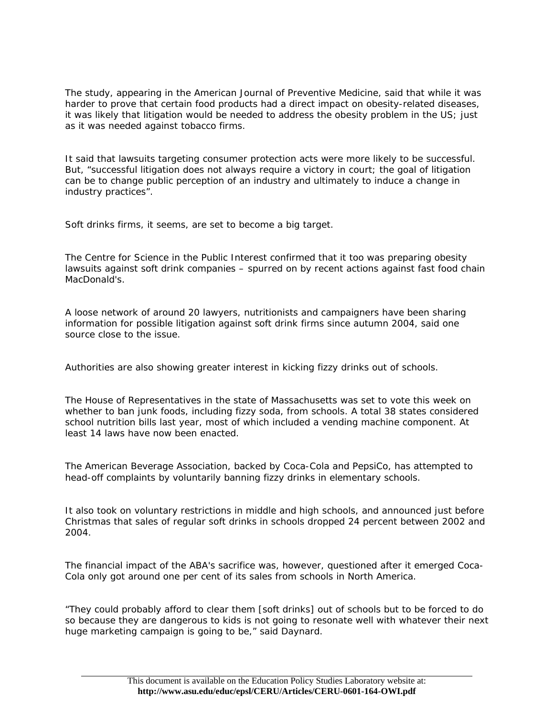The study, appearing in the American Journal of Preventive Medicine, said that while it was harder to prove that certain food products had a direct impact on obesity-related diseases, it was likely that litigation would be needed to address the obesity problem in the US; just as it was needed against tobacco firms.

It said that lawsuits targeting consumer protection acts were more likely to be successful. But, "successful litigation does not always require a victory in court; the goal of litigation can be to change public perception of an industry and ultimately to induce a change in industry practices".

Soft drinks firms, it seems, are set to become a big target.

The Centre for Science in the Public Interest confirmed that it too was preparing obesity lawsuits against soft drink companies – spurred on by recent actions against fast food chain MacDonald's.

A loose network of around 20 lawyers, nutritionists and campaigners have been sharing information for possible litigation against soft drink firms since autumn 2004, said one source close to the issue.

Authorities are also showing greater interest in kicking fizzy drinks out of schools.

The House of Representatives in the state of Massachusetts was set to vote this week on whether to ban junk foods, including fizzy soda, from schools. A total 38 states considered school nutrition bills last year, most of which included a vending machine component. At least 14 laws have now been enacted.

The American Beverage Association, backed by Coca-Cola and PepsiCo, has attempted to head-off complaints by voluntarily banning fizzy drinks in elementary schools.

It also took on voluntary restrictions in middle and high schools, and announced just before Christmas that sales of regular soft drinks in schools dropped 24 percent between 2002 and 2004.

The financial impact of the ABA's sacrifice was, however, questioned after it emerged Coca-Cola only got around one per cent of its sales from schools in North America.

"They could probably afford to clear them [soft drinks] out of schools but to be forced to do so because they are dangerous to kids is not going to resonate well with whatever their next huge marketing campaign is going to be," said Daynard.